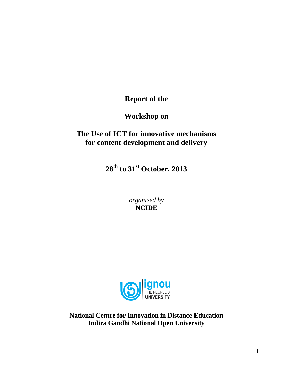**Report of the**

**Workshop on** 

# **The Use of ICT for innovative mechanisms for content development and delivery**

**28th to 31st October, 2013**

*organised by* **NCIDE**



**National Centre for Innovation in Distance Education Indira Gandhi National Open University**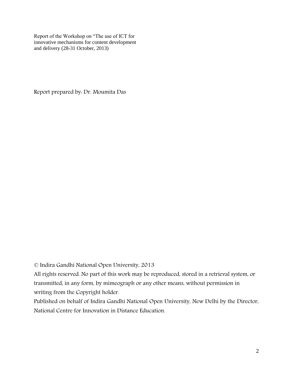Report of the Workshop on "The use of ICT for innovative mechanisms for content development and delivery (28-31 October, 2013)

Report prepared by: Dr. Moumita Das

© Indira Gandhi National Open University, 2013

All rights reserved. No part of this work may be reproduced, stored in a retrieval system, or transmitted, in any form, by mimeograph or any other means, without permission in writing from the Copyright holder.

Published on behalf of Indira Gandhi National Open University, New Delhi by the Director, National Centre for Innovation in Distance Education.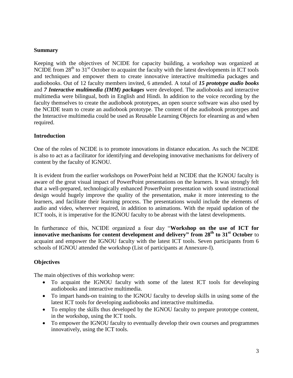#### **Summary**

Keeping with the objectives of NCIDE for capacity building, a workshop was organized at NCIDE from  $28<sup>th</sup>$  to  $31<sup>st</sup>$  October to acquaint the faculty with the latest developments in ICT tools and techniques and empower them to create innovative interactive multimedia packages and audiobooks. Out of 12 faculty members invited, 6 attended. A total of *15 prototype audio books* and *7 Interactive multimedia (IMM) packages* were developed. The audiobooks and interactive multimedia were bilingual, both in English and Hindi. In addition to the voice recording by the faculty themselves to create the audiobook prototypes, an open source software was also used by the NCIDE team to create an audiobook prototype. The content of the audiobook prototypes and the Interactive multimedia could be used as Reusable Learning Objects for elearning as and when required.

#### **Introduction**

One of the roles of NCIDE is to promote innovations in distance education. As such the NCIDE is also to act as a facilitator for identifying and developing innovative mechanisms for delivery of content by the faculty of IGNOU.

It is evident from the earlier workshops on PowerPoint held at NCIDE that the IGNOU faculty is aware of the great visual impact of PowerPoint presentations on the learners. It was strongly felt that a well-prepared, technologically enhanced PowerPoint presentation with sound instructional design would hugely improve the quality of the presentation, make it more interesting to the learners, and facilitate their learning process. The presentations would include the elements of audio and video, wherever required, in addition to animations. With the repaid updation of the ICT tools, it is imperative for the IGNOU faculty to be abreast with the latest developments.

In furtherance of this, NCIDE organized a four day "**Workshop on the use of ICT for innovative mechanisms for content development and delivery" from 28th to 31st October** to acquaint and empower the IGNOU faculty with the latest ICT tools. Seven participants from 6 schools of IGNOU attended the workshop (List of participants at Annexure-I).

#### **Objectives**

The main objectives of this workshop were:

- To acquaint the IGNOU faculty with some of the latest ICT tools for developing audiobooks and interactive multimedia.
- To impart hands-on training to the IGNOU faculty to develop skills in using some of the latest ICT tools for developing audiobooks and interactive multimedia.
- To employ the skills thus developed by the IGNOU faculty to prepare prototype content, in the workshop, using the ICT tools.
- To empower the IGNOU faculty to eventually develop their own courses and programmes innovatively, using the ICT tools.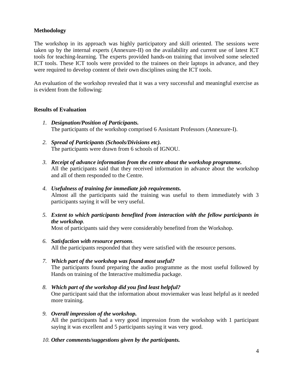#### **Methodology**

The workshop in its approach was highly participatory and skill oriented. The sessions were taken up by the internal experts (Annexure-II) on the availability and current use of latest ICT tools for teaching-learning. The experts provided hands-on training that involved some selected ICT tools. These ICT tools were provided to the trainees on their laptops in advance, and they were required to develop content of their own disciplines using the ICT tools.

An evaluation of the workshop revealed that it was a very successful and meaningful exercise as is evident from the following:

#### **Results of Evaluation**

- *1. Designation/Position of Participants.* The participants of the workshop comprised 6 Assistant Professors (Annexure-I).
- *2. Spread of Participants (Schools/Divisions etc).* The participants were drawn from 6 schools of IGNOU.
- *3. Receipt of advance information from the centre about the workshop programme.* All the participants said that they received information in advance about the workshop and all of them responded to the Centre.
- *4. Usefulness of training for immediate job requirements.* Almost all the participants said the training was useful to them immediately with 3 participants saying it will be very useful.
- *5. Extent to which participants benefited from interaction with the fellow participants in the workshop.*

Most of participants said they were considerably benefited from the Workshop.

- *6. Satisfaction with resource persons.*  All the participants responded that they were satisfied with the resource persons.
- *7. Which part of the workshop was found most useful?* The participants found preparing the audio programme as the most useful followed by Hands on training of the Interactive multimedia package.
- *8. Which part of the workshop did you find least helpful?* One participant said that the information about moviemaker was least helpful as it needed more training.
- *9. Overall impression of the workshop.* All the participants had a very good impression from the workshop with 1 participant saying it was excellent and 5 participants saying it was very good.
- *10. Other comments/suggestions given by the participants.*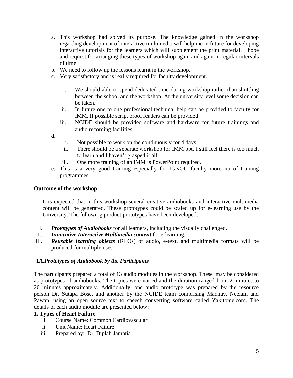- a. This workshop had solved its purpose. The knowledge gained in the workshop regarding development of interactive multimedia will help me in future for developing interactive tutorials for the learners which will supplement the print material. I hope and request for arranging these types of workshop again and again in regular intervals of time.
- b. We need to follow up the lessons learnt in the workshop.
- c. Very satisfactory and is really required for faculty development.
	- i. We should able to spend dedicated time during workshop rather than shuttling between the school and the workshop. At the university level some decision can be taken.
	- ii. In future one to one professional technical help can be provided to faculty for IMM. If possible script proof readers can be provided.
	- iii. NCIDE should be provided software and hardware for future trainings and audio recording facilities.

d.

- i. Not possible to work on the continuously for 4 days.
- ii. There should be a separate workshop for IMM ppt. I still feel there is too much to learn and I haven't grasped it all.
- iii. One more training of an IMM is PowerPoint required.
- e. This is a very good training especially for IGNOU faculty more no of training programmes.

#### **Outcome of the workshop**

It is expected that in this workshop several creative audiobooks and interactive multimedia content will be generated. These prototypes could be scaled up for e-learning use by the University. The following product prototypes have been developed:

- I. *Prototypes of Audiobooks* for all learners, including the visually challenged.
- II. *Innovative Interactive Multimedia content* for e-learning.
- III. *Reusable learning objects* (RLOs) of audio, e-text, and multimedia formats will be produced for multiple uses.

#### **1A***.Prototypes of Audiobook by the Participants*

The participants prepared a total of 13 audio modules in the workshop. These may be considered as prototypes of audiobooks. The topics were varied and the duration ranged from 2 minutes to 20 minutes approximately. Additionally, one audio prototype was prepared by the resource person Dr. Sutapa Bose, and another by the NCIDE team comprising Madhav, Neelam and Pawan, using an open source text to speech converting software called Yakitome.com. The details of each audio module are presented below:

#### **1. Types of Heart Failure**

- i. Course Name: Common Cardiovascular
- ii. Unit Name: Heart Failure
- iii. Prepared by: Dr. Biplab Jamatia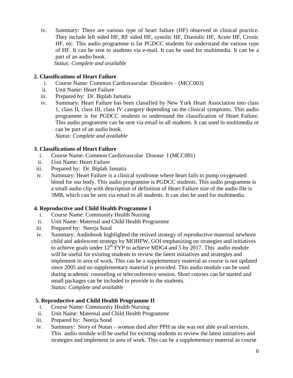iv. Summary: There are various type of heart failure (HF) observed in clinical practice. They include left sided HF, RF sided HF, systolic HF, Diastolic HF, Acute HF, Cronic HF, etc. This audio programme is far PGDCC students for understand the various type of HF. It can he sent to students via e-mail. It can he used for multimedia. It can be a part of an audio book.

 *Status: Complete and available* 

#### **2. Classifications of Heart Failure**

- i. Course Name: Common Cardiovascular Disorders (MCC003)
- ii. Unit Name: Heart Failure
- iii. Prepared by: Dr. Biplab Jamatia
- iv. Summary: Heart Failure has been classified by New York Heart Association into class 1, class II, class III, class IV category depending on the clinical symptoms. This audio programme is for PGDCC students to understand the classification of Heart Failure. This audio programme can be sent via email to all students. It can used in multimedia or can be part of an audio book.

*Status: Complete and available* 

#### **3. Classifications of Heart Failure**

- i. Course Name: Common Cardiovascular Disease I (MCC001)
- ii. Unit Name: Heart Failure
- iii. Prepared by: Dr. Biplab Jamatia
- iv. Summary: Heart Failure is a clinical syndrome where heart fails to pump oxygenated blood for our body. This audio programme is PGDCC students. This audio programme is a small audio clip with description of definition of Heart Failure size of the audio file is 3MB, which can be sent via email to all students. It can also be used for multimedia.

### **4. Reproductive and Child Health Programme I**

- i. Course Name: Community Health Nursing
- ii. Unit Name: Maternal and Child Health Programme
- iii. Prepared by: Neerja Sood
- iv. Summary: Audiobook highlighted the resived strategy of reproductive maternal newborn child and adolescent strategy by MOHFW, GOI emphasizing on strategies and initiatives to achieve goals under  $12^{th}$  FYP to achieve MDG4 and 5 by 2017. This audio module will be useful for existing students to review the latest initiatives and strategies and implement in area of work. This can be a supplementary material as course is not updated since 2005 and no supplementary material is provided. This audio module can be used during academic counseling or teleconference session. Short courses can be started and small packages can be included to provide to the students. *Status: Complete and available*

#### **5. Reproductive and Child Health Programme II**

- i. Course Name: Community Health Nursing
- ii. Unit Name: Maternal and Child Health Programme
- iii. Prepared by: Neerja Sood
- iv. Summary: Story of Nutan woman died after PPH as she was not able avail services. This audio module will be useful for existing students to review the latest initiatives and strategies and implement in area of work. This can be a supplementary material as course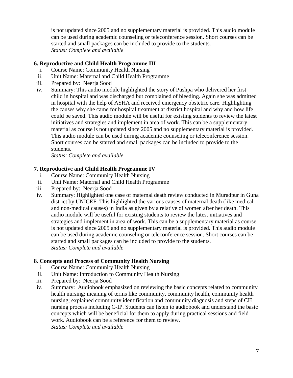is not updated since 2005 and no supplementary material is provided. This audio module can be used during academic counseling or teleconference session. Short courses can be started and small packages can be included to provide to the students. *Status: Complete and available* 

#### **6. Reproductive and Child Health Programme III**

- i. Course Name: Community Health Nursing
- ii. Unit Name: Maternal and Child Health Programme
- iii. Prepared by: Neerja Sood
- iv. Summary: This audio module highlighted the story of Pushpa who delivered her first child in hospital and was discharged but complained of bleeding. Again she was admitted in hospital with the help of ASHA and received emergency obstetric care. Highlighting the causes why she came for hospital treatment at district hospital and why and how life could be saved. This audio module will be useful for existing students to review the latest initiatives and strategies and implement in area of work. This can be a supplementary material as course is not updated since 2005 and no supplementary material is provided. This audio module can be used during academic counseling or teleconference session. Short courses can be started and small packages can be included to provide to the students.

*Status: Complete and available* 

#### **7. Reproductive and Child Health Programme IV**

- i. Course Name: Community Health Nursing
- ii. Unit Name: Maternal and Child Health Programme
- iii. Prepared by: Neerja Sood
- iv. Summary: Highlighted one case of maternal death review conducted in Muradpur in Guna district by UNICEF. This highlighted the various causes of maternal death (like medical and non-medical causes) in India as given by a relative of women after her death. This audio module will be useful for existing students to review the latest initiatives and strategies and implement in area of work. This can be a supplementary material as course is not updated since 2005 and no supplementary material is provided. This audio module can be used during academic counseling or teleconference session. Short courses can be started and small packages can be included to provide to the students. *Status: Complete and available*

#### **8. Concepts and Process of Community Health Nursing**

- i. Course Name: Community Health Nursing
- ii. Unit Name: Introduction to Community Health Nursing
- iii. Prepared by: Neerja Sood
- iv. Summary: Audiobook emphasized on reviewing the basic concepts related to community health nursing; meaning of terms like community, community health, community health nursing; explained community identification and community diagnosis and steps of CH nursing process including C-IP. Students can listen to audiobook and understand the basic concepts which will be beneficial for them to apply during practical sessions and field work. Audiobook can be a reference for them to review. *Status: Complete and available*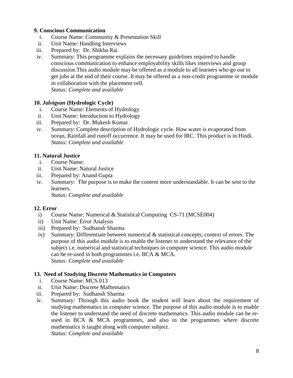### **9. Conscious Communication**

- i. Course Name: Community & Presentation Skill
- ii. Unit Name: Handling Interviews
- iii. Prepared by: Dr. Shikha Rai
- iv. Summary: This programme explains the necessary guidelines required to handle conscious communication to enhance employability skills likes interviews and group discussion.This audio module may be offered as a module to all learners who go out to get jobs at the end of their course. It may be offered as a non-credit programme or module in collaboration with the placement cell. *Status: Complete and available*

#### **10.** *Jalvigyan* **(Hydrologic Cycle)**

- i. Course Name: Elements of Hydrology
- ii. Unit Name: Introduction to Hydrology
- iii. Prepared by: Dr. Mukesh Kumar
- iv. Summary: Complete description of Hydrologic cycle. How water is evaporated from ocean, Rainfall and runoff occurrence. It may be used for IRC. This product is in Hindi. *Status: Complete and available*

### **11. Natural Justice**

- i. Course Name:
- ii. Unit Name: Natural Justice
- iii. Prepared by: Anand Gupta
- iv. Summary: The purpose is to make the content more understandable. It can be sent to the learners.

*Status: Complete and available* 

#### **12. Error**

- i) Course Name: Numerical & Statistical Computing CS-71 (MCSE004)
- ii) Unit Name: Error Analysis
- iii) Prepared by: Sudhansh Sharma
- iv) Summary: Differentiate between numerical & statistical concepts; context of errors. The purpose of this audio module is to enable the listener to understand the relevance of the subject i.e. numerical and statistical techniques in computer science. This audio module can be re-used in both programmes i.e. BCA & MCA. *Status: Complete and available*

#### **13. Need of Studying Discrete Mathematics in Computers**

- i. Course Name: MCS.013
- ii. Unit Name: Discrete Mathematics
- iii. Prepared by: Sudhansh Sharma
- iv. Summary: Through this audio book the student will learn about the requirement of studying mathematics in computer science. The purpose of this audio module is to enable the listener to understand the need of discrete mathematics. This audio module can be reused in BCA & MCA programmes, and also in the programmes where discrete mathematics is taught along with computer subject. *Status: Complete and available*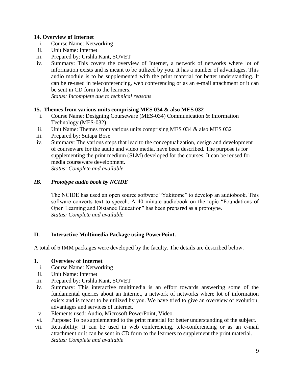#### **14. Overview of Internet**

- i. Course Name: Networking
- ii. Unit Name: Internet
- iii. Prepared by: Urshla Kant, SOVET
- iv. Summary: This covers the overview of Internet, a network of networks where lot of information exists and is meant to be utilized by you. It has a number of advantages. This audio module is to be supplemented with the print material for better understanding. It can be re-used in teleconferencing, web conferencing or as an e-mail attachment or it can be sent in CD form to the learners.

*Status: Incomplete due to technical reasons*

### **15. Themes from various units comprising MES 034 & also MES 032**

- i. Course Name: Designing Courseware (MES-034) Communication & Information Technology (MES-032)
- ii. Unit Name: Themes from various units comprising MES 034 & also MES 032
- iii. Prepared by: Sutapa Bose
- iv. Summary: The various steps that lead to the conceptualization, design and development of courseware for the audio and video media, have been described. The purpose is for supplementing the print medium (SLM) developed for the courses. It can be reused for media courseware development. *Status: Complete and available*

*IB. Prototype audio book by NCIDE*

The NCIDE has used an open source software "Yakitome" to develop an audiobook. This software converts text to speech. A 40 minute audiobook on the topic "Foundations of Open Learning and Distance Education" has been prepared as a prototype. *Status: Complete and available* 

### **II. Interactive Multimedia Package using PowerPoint.**

A total of 6 IMM packages were developed by the faculty. The details are described below.

#### **1. Overview of Internet**

- i. Course Name: Networking
- ii. Unit Name: Internet
- iii. Prepared by: Urshla Kant, SOVET
- iv. Summary: This interactive multimedia is an effort towards answering some of the fundamental queries about an Internet, a network of networks where lot of information exists and is meant to be utilized by you. We have tried to give an overview of evolution, advantages and services of Internet.
- v. Elements used: Audio, Microsoft PowerPoint, Video.
- vi. Purpose: To be supplemented to the print material for better understanding of the subject.
- vii. Reusability: It can be used in web conferencing, tele-conferencing or as an e-mail attachment or it can be sent in CD form to the learners to supplement the print material. *Status: Complete and available*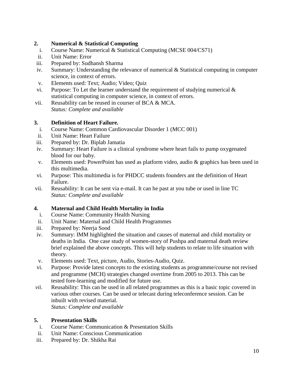### **2. Numerical & Statistical Computing**

- i. Course Name: Numerical & Statistical Computing (MCSE 004/CS71)
- ii. Unit Name: Error
- iii. Prepared by: Sudhansh Sharma
- iv. Summary: Understanding the relevance of numerical & Statistical computing in computer science, in context of errors.
- v. Elements used: Text; Audio; Video; Quiz
- vi. Purpose: To Let the learner understand the requirement of studying numerical  $\&$ statistical computing in computer science, in context of errors.
- vii. Reusability can be reused in courser of BCA & MCA. *Status: Complete and available*

### **3. Definition of Heart Failure.**

- i. Course Name: Common Cardiovascular Disorder 1 (MCC 001)
- ii. Unit Name: Heart Failure
- iii. Prepared by: Dr. Biplab Jamatia
- iv. Summary: Heart Failure is a clinical syndrome where heart fails to pump oxygenated blood for our baby.
- v. Elements used: PowerPoint has used as platform video, audio & graphics has been used in this multimedia.
- vi. Purpose: This multimedia is for PHDCC students founders ant the definition of Heart Failure.
- vii. Reusability: It can be sent via e-mail. It can he past at you tube or used in line TC *Status: Complete and available*

### **4. Maternal and Child Health Mortality in India**

- i. Course Name: Community Health Nursing
- ii. Unit Name: Maternal and Child Health Programmes
- iii. Prepared by: Neerja Sood
- iv. Summary: IMM highlighted the situation and causes of maternal and child mortality or deaths in India. One case study of women-story of Pushpa and maternal death review brief explained the above concepts. This will help students to relate to life situation with theory.
- v. Elements used: Text, picture, Audio, Stories-Audio, Quiz.
- vi. Purpose: Provide latest concepts to the existing students as programme/course not revised and programme (MCH) strategies changed overtime from 2005 to 2013. This can be tested fore-learning and modified for future use.
- *vii.* Reusability: This can be used in all related programmes as this is a basic topic covered in various other courses. Can be used or telecast during teleconference session. Can be inbuilt with revised material. *Status: Complete and available*

#### **5. Presentation Skills**

- i. Course Name: Communication & Presentation Skills
- ii. Unit Name: Conscious Communication
- iii. Prepared by: Dr. Shikha Rai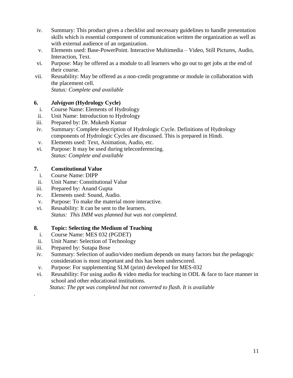- iv. Summary: This product gives a checklist and necessary guidelines to handle presentation skills which is essential component of communication written the organization as well as with external audience of an organization.
- v. Elements used: Base-PowerPoint. Interactive Multimedia Video, Still Pictures, Audio, Interaction, Text.
- vi. Purpose: May be offered as a module to all learners who go out to get jobs at the end of their course.
- vii. Reusability: May be offered as a non-credit programme or module in collaboration with the placement cell.

*Status: Complete and available*

### **6.** *Jalvigyan* **(Hydrology Cycle)**

- i. Course Name: Elements of Hydrology
- ii. Unit Name: Introduction to Hydrology
- iii. Prepared by: Dr. Mukesh Kumar
- iv. Summary: Complete description of Hydrologic Cycle. Definitions of Hydrology components of Hydrologic Cycles are discussed. This is prepared in Hindi.
- v. Elements used: Text, Animation, Audio, etc.
- vi. Purpose: It may be used during teleconferencing. *Status: Complete and available*

### **7. Constitutional Value**

- i. Course Name: DIPP
- ii. Unit Name: Constitutional Value
- iii. Prepared by: Anand Gupta
- iv. Elements used: Sound, Audio.
- v. Purpose: To make the material more interactive.
- vi. Reusability: It can be sent to the learners. *Status: This IMM was planned but was not completed.*

### **8. Topic: Selecting the Medium of Teaching**

- i. Course Name: MES 032 (PGDET)
- ii. Unit Name: Selection of Technology
- iii. Prepared by: Sutapa Bose

*.*

- iv. Summary: Selection of audio/video medium depends on many factors but the pedagogic consideration is most important and this has been underscored.
- v. Purpose: For supplementing SLM (print) developed for MES-032
- vi. Reusability: For using audio & video media for teaching in ODL & face to face manner in school and other educational institutions.

 *Status: The ppt was completed but not converted to flash. It is available*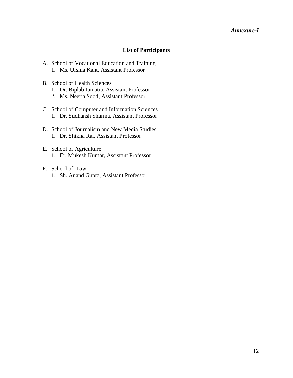#### *Annexure-I*

#### **List of Participants**

- A. School of Vocational Education and Training 1. Ms. Urshla Kant, Assistant Professor
- B. School of Health Sciences
	- 1. Dr. Biplab Jamatia, Assistant Professor
	- 2. Ms. Neerja Sood, Assistant Professor
- C. School of Computer and Information Sciences 1. Dr. Sudhansh Sharma, Assistant Professor
- D. School of Journalism and New Media Studies 1. Dr. Shikha Rai, Assistant Professor
- E. School of Agriculture 1. Er. Mukesh Kumar, Assistant Professor
- F. School of Law 1. Sh. Anand Gupta, Assistant Professor